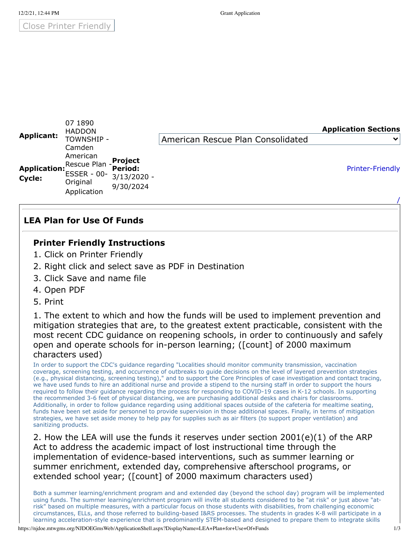Close Printer Friendly

| <b>Applicant:</b> | 07 1890<br><b>HADDON</b><br>TOWNSHIP -                                                            |                                                                |                                   | <b>Application Sections</b> |
|-------------------|---------------------------------------------------------------------------------------------------|----------------------------------------------------------------|-----------------------------------|-----------------------------|
|                   |                                                                                                   |                                                                | American Rescue Plan Consolidated | $\checkmark$                |
| Cycle:            | Camden<br>American<br>Rescue Plan -<br><b>Application: ESSER - 00-</b><br>Original<br>Application | <b>Project</b><br><b>Period:</b><br>$3/13/2020 -$<br>9/30/2024 |                                   | <b>Printer-Friendly</b>     |

## **LEA Plan for Use Of Funds**

## **Printer Friendly Instructions**

- 1. Click on Printer Friendly
- 2. Right click and select save as PDF in Destination
- 3. Click Save and name file
- 4. Open PDF
- 5. Print

1. The extent to which and how the funds will be used to implement prevention and mitigation strategies that are, to the greatest extent practicable, consistent with the most recent CDC guidance on reopening schools, in order to continuously and safely open and operate schools for in-person learning; ([count] of 2000 maximum characters used)

In order to support the CDC's guidance regarding "Localities should monitor community transmission, vaccination coverage, screening testing, and occurrence of outbreaks to guide decisions on the level of layered prevention strategies (e.g., physical distancing, screening testing)," and to support the Core Principles of case investigation and contact tracing, we have used funds to hire an additional nurse and provide a stipend to the nursing staff in order to support the hours required to follow their guidance regarding the process for responding to COVID-19 cases in K-12 schools. In supporting the recommended 3-6 feet of physical distancing, we are purchasing additional desks and chairs for classrooms. Additionally, in order to follow guidance regarding using additional spaces outside of the cafeteria for mealtime seating, funds have been set aside for personnel to provide supervision in those additional spaces. Finally, in terms of mitigation strategies, we have set aside money to help pay for supplies such as air filters (to support proper ventilation) and sanitizing products.

2. How the LEA will use the funds it reserves under section 2001(e)(1) of the ARP Act to address the academic impact of lost instructional time through the implementation of evidence-based interventions, such as summer learning or summer enrichment, extended day, comprehensive afterschool programs, or extended school year; ([count] of 2000 maximum characters used)

Both a summer learning/enrichment program and and extended day (beyond the school day) program will be implemented using funds. The summer learning/enrichment program will invite all students considered to be "at risk" or just above "atrisk" based on multiple measures, with a particular focus on those students with disabilities, from challenging economic circumstances, ELLs, and those referred to building-based I&RS processes. The students in grades K-8 will participate in a learning acceleration-style experience that is predominantly STEM-based and designed to prepare them to integrate skills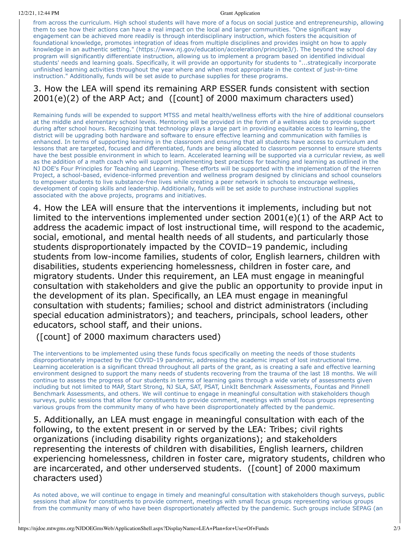## g y p p y g p p g

from across the curriculum. High school students will have more of a focus on social justice and entrepreneurship, allowing them to see how their actions can have a real impact on the local and larger communities. "One significant way engagement can be achieved more readily is through interdisciplinary instruction, which fosters the acquisition of foundational knowledge, promotes integration of ideas from multiple disciplines and provides insight on how to apply knowledge in an authentic setting." (https://www.nj.gov/education/acceleration/principle3/). The beyond the school day program will significantly differentiate instruction, allowing us to implement a program based on identified individual students' needs and learning goals. Specifically, it will provide an opportunity for students to "...strategically incorporate unfinished learning activities throughout the year where and when most appropriate in the context of just-in-time instruction." Additionally, funds will be set aside to purchase supplies for these programs.

## 3. How the LEA will spend its remaining ARP ESSER funds consistent with section 2001(e)(2) of the ARP Act; and ([count] of 2000 maximum characters used)

Remaining funds will be expended to support MTSS and metal health/wellness efforts with the hire of additional counselors at the middle and elementary school levels. Mentoring will be provided in the form of a wellness aide to provide support during after school hours. Recognizing that technology plays a large part in providing equitable access to learning, the district will be upgrading both hardware and software to ensure effective learning and communication with families is enhanced. In terms of supporting learning in the classroom and ensuring that all students have access to curriculum and lessons that are targeted, focused and differentiated, funds are being allocated to classroom personnel to ensure students have the best possible environment in which to learn. Accelerated learning will be supported via a curricular review, as well as the addition of a math coach who will support implementing best practices for teaching and learning as outlined in the NJ DOE's Four Principles for Teaching and Learning. These efforts will be supported with the implementation of the Herren Project, a school-based, evidence-informed prevention and wellness program designed by clinicians and school counselors to empower students to live substance-free lives while creating a peer network in schools to encourage wellness, development of coping skills and leadership. Additionally, funds will be set aside to purchase instructional supplies associated with the above projects, programs and initiatives.

4. How the LEA will ensure that the interventions it implements, including but not limited to the interventions implemented under section 2001(e)(1) of the ARP Act to address the academic impact of lost instructional time, will respond to the academic, social, emotional, and mental health needs of all students, and particularly those students disproportionately impacted by the COVID–19 pandemic, including students from low-income families, students of color, English learners, children with disabilities, students experiencing homelessness, children in foster care, and migratory students. Under this requirement, an LEA must engage in meaningful consultation with stakeholders and give the public an opportunity to provide input in the development of its plan. Specifically, an LEA must engage in meaningful consultation with students; families; school and district administrators (including special education administrators); and teachers, principals, school leaders, other educators, school staff, and their unions.

([count] of 2000 maximum characters used)

The interventions to be implemented using these funds focus specifically on meeting the needs of those students disproportionately impacted by the COVID-19 pandemic, addressing the academic impact of lost instructional time. Learning acceleration is a significant thread throughout all parts of the grant, as is creating a safe and effective learning environment designed to support the many needs of students recovering from the trauma of the last 18 months. We will continue to assess the progress of our students in terms of learning gains through a wide variety of assessments given including but not limited to MAP, Start Strong, NJ SLA, SAT, PSAT, LinkIt Benchmark Assessments, Fountas and Pinnell Benchmark Assessments, and others. We will continue to engage in meaningful consultation with stakeholders though surveys, public sessions that allow for constituents to provide comment, meetings with small focus groups representing various groups from the community many of who have been disproportionately affected by the pandemic.

5. Additionally, an LEA must engage in meaningful consultation with each of the following, to the extent present in or served by the LEA: Tribes; civil rights organizations (including disability rights organizations); and stakeholders representing the interests of children with disabilities, English learners, children experiencing homelessness, children in foster care, migratory students, children who are incarcerated, and other underserved students. ([count] of 2000 maximum characters used)

As noted above, we will continue to engage in timely and meaningful consultation with stakeholders though surveys, public sessions that allow for constituents to provide comment, meetings with small focus groups representing various groups from the community many of who have been disproportionately affected by the pandemic. Such groups include SEPAG (an